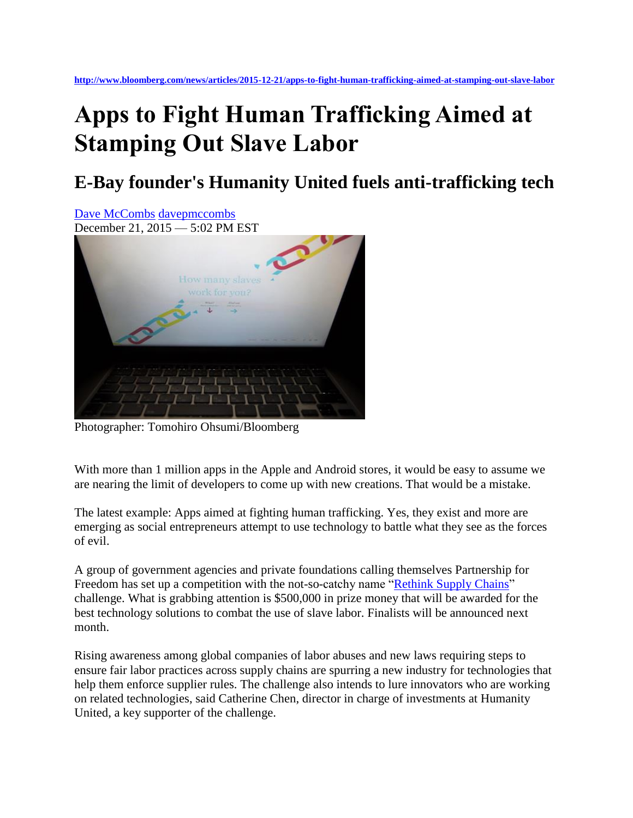## **Apps to Fight Human Trafficking Aimed at Stamping Out Slave Labor**

## **E-Bay founder's Humanity United fuels anti-trafficking tech**



Photographer: Tomohiro Ohsumi/Bloomberg

With more than 1 million apps in the Apple and Android stores, it would be easy to assume we are nearing the limit of developers to come up with new creations. That would be a mistake.

The latest example: Apps aimed at fighting human trafficking. Yes, they exist and more are emerging as social entrepreneurs attempt to use technology to battle what they see as the forces of evil.

A group of government agencies and private foundations calling themselves Partnership for Freedom has set up a competition with the not-so-catchy name ["Rethink Supply Chains"](https://www.partnershipforfreedom.org/rethinksupplychains/) challenge. What is grabbing attention is \$500,000 in prize money that will be awarded for the best technology solutions to combat the use of slave labor. Finalists will be announced next month.

Rising awareness among global companies of labor abuses and new laws requiring steps to ensure fair labor practices across supply chains are spurring a new industry for technologies that help them enforce supplier rules. The challenge also intends to lure innovators who are working on related technologies, said Catherine Chen, director in charge of investments at Humanity United, a key supporter of the challenge.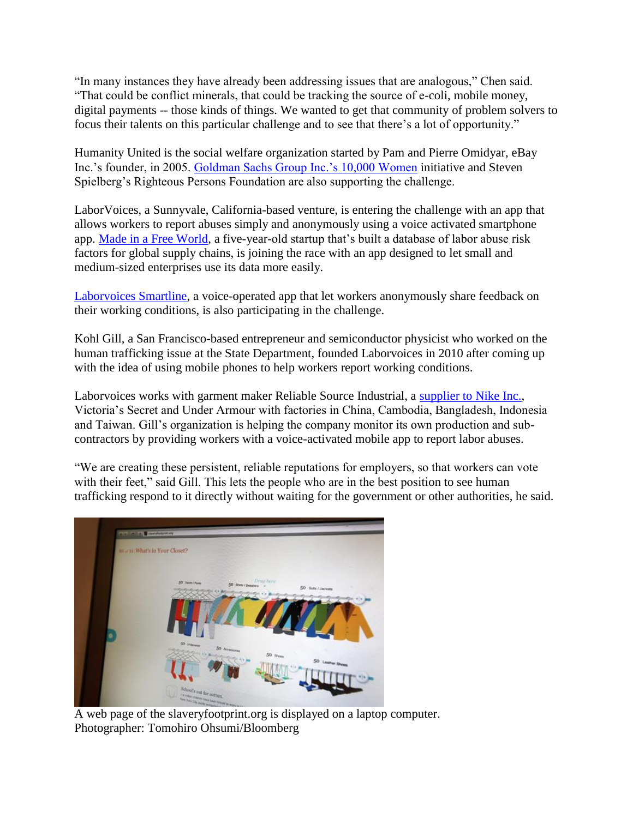"In many instances they have already been addressing issues that are analogous," Chen said. "That could be conflict minerals, that could be tracking the source of e-coli, mobile money, digital payments -- those kinds of things. We wanted to get that community of problem solvers to focus their talents on this particular challenge and to see that there's a lot of opportunity."

Humanity United is the social welfare organization started by Pam and Pierre Omidyar, eBay Inc.'s founder, in 2005. [Goldman Sachs Group Inc.'s 10,000 Women](http://www.goldmansachs.com/citizenship/10000women/) initiative and Steven Spielberg's Righteous Persons Foundation are also supporting the challenge.

LaborVoices, a Sunnyvale, California-based venture, is entering the challenge with an app that allows workers to report abuses simply and anonymously using a voice activated smartphone app. [Made in a Free World,](https://madeinafreeworld.com/) a five-year-old startup that's built a database of labor abuse risk factors for global supply chains, is joining the race with an app designed to let small and medium-sized enterprises use its data more easily.

[Laborvoices Smartline,](http://www.laborvoices.com/) a voice-operated app that let workers anonymously share feedback on their working conditions, is also participating in the challenge.

Kohl Gill, a San Francisco-based entrepreneur and semiconductor physicist who worked on the human trafficking issue at the State Department, founded Laborvoices in 2010 after coming up with the idea of using mobile phones to help workers report working conditions.

Laborvoices works with garment maker Reliable Source Industrial, a [supplier to Nike Inc.,](http://www.rsiapparel.com/index.php/en/clients-e.html) Victoria's Secret and Under Armour with factories in China, Cambodia, Bangladesh, Indonesia and Taiwan. Gill's organization is helping the company monitor its own production and subcontractors by providing workers with a voice-activated mobile app to report labor abuses.

"We are creating these persistent, reliable reputations for employers, so that workers can vote with their feet," said Gill. This lets the people who are in the best position to see human trafficking respond to it directly without waiting for the government or other authorities, he said.



A web page of the slaveryfootprint.org is displayed on a laptop computer. Photographer: Tomohiro Ohsumi/Bloomberg